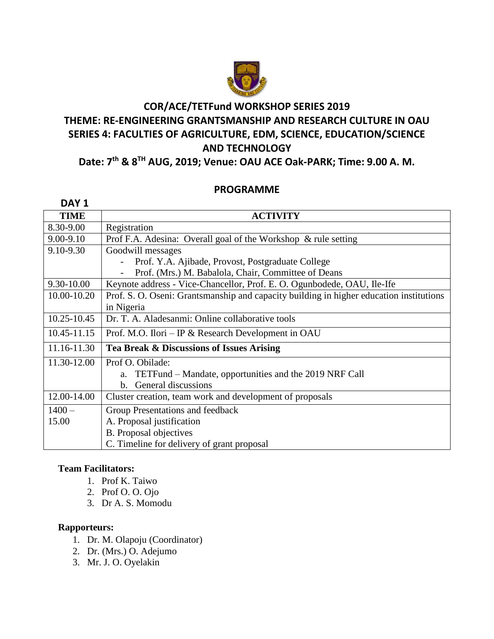

# **COR/ACE/TETFund WORKSHOP SERIES 2019 THEME: RE-ENGINEERING GRANTSMANSHIP AND RESEARCH CULTURE IN OAU SERIES 4: FACULTIES OF AGRICULTURE, EDM, SCIENCE, EDUCATION/SCIENCE AND TECHNOLOGY**

## **Date: 7 th & 8 TH AUG, 2019; Venue: OAU ACE Oak-PARK; Time: 9.00 A. M.**

### **PROGRAMME**

| DAY <sub>1</sub> |                                                                                         |
|------------------|-----------------------------------------------------------------------------------------|
| <b>TIME</b>      | <b>ACTIVITY</b>                                                                         |
| 8.30-9.00        | Registration                                                                            |
| 9.00-9.10        | Prof F.A. Adesina: Overall goal of the Workshop & rule setting                          |
| 9.10-9.30        | Goodwill messages                                                                       |
|                  | Prof. Y.A. Ajibade, Provost, Postgraduate College                                       |
|                  | Prof. (Mrs.) M. Babalola, Chair, Committee of Deans                                     |
| 9.30-10.00       | Keynote address - Vice-Chancellor, Prof. E. O. Ogunbodede, OAU, Ile-Ife                 |
| 10.00-10.20      | Prof. S. O. Oseni: Grantsmanship and capacity building in higher education institutions |
|                  | in Nigeria                                                                              |
| $10.25 - 10.45$  | Dr. T. A. Aladesanmi: Online collaborative tools                                        |
| 10.45-11.15      | Prof. M.O. Ilori – IP & Research Development in OAU                                     |
| 11.16-11.30      | Tea Break & Discussions of Issues Arising                                               |
| 11.30-12.00      | Prof O. Obilade:                                                                        |
|                  | a. TETFund – Mandate, opportunities and the 2019 NRF Call                               |
|                  | General discussions<br>$h_{-}$                                                          |
| 12.00-14.00      | Cluster creation, team work and development of proposals                                |
| $1400 -$         | Group Presentations and feedback                                                        |
| 15.00            | A. Proposal justification                                                               |
|                  | <b>B.</b> Proposal objectives                                                           |
|                  | C. Timeline for delivery of grant proposal                                              |

### **Team Facilitators:**

- 1. Prof K. Taiwo
- 2. Prof O. O. Ojo
- 3. Dr A. S. Momodu

#### **Rapporteurs:**

- 1. Dr. M. Olapoju (Coordinator)
- 2. Dr. (Mrs.) O. Adejumo
- 3. Mr. J. O. Oyelakin